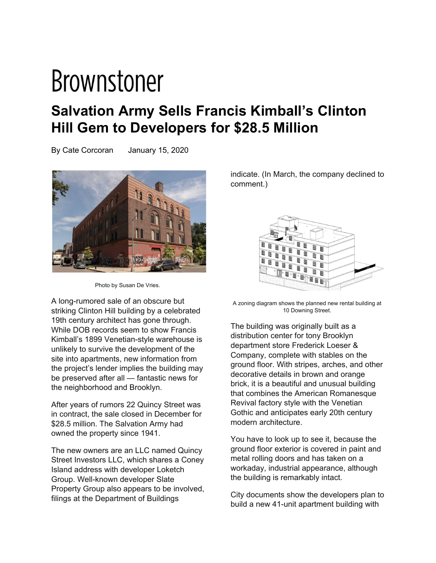## **Brownstoner**

## **Salvation Army Sells Francis Kimball's Clinton Hill Gem to Developers for \$28.5 Million**

By Cate Corcoran January 15, 2020



Photo by Susan De Vries.

A long-rumored sale of an obscure but striking Clinton Hill building by a celebrated 19th century architect has gone through. While DOB records seem to show Francis Kimball's 1899 Venetian-style warehouse is unlikely to survive the development of the site into apartments, new information from the project's lender implies the building may be preserved after all — fantastic news for the neighborhood and Brooklyn.

After years of rumors 22 Quincy Street was in contract, the sale closed in December for \$28.5 million. The Salvation Army had owned the property since 1941.

The new owners are an LLC named Quincy Street Investors LLC, which shares a Coney Island address with developer Loketch Group. Well-known developer Slate Property Group also appears to be involved, filings at the Department of Buildings

indicate. (In March, the company declined to comment.)



A zoning diagram shows the planned new rental building at 10 Downing Street.

The building was originally built as a distribution center for tony Brooklyn department store Frederick Loeser & Company, complete with stables on the ground floor. With stripes, arches, and other decorative details in brown and orange brick, it is a beautiful and unusual building that combines the American Romanesque Revival factory style with the Venetian Gothic and anticipates early 20th century modern architecture.

You have to look up to see it, because the ground floor exterior is covered in paint and metal rolling doors and has taken on a workaday, industrial appearance, although the building is remarkably intact.

City documents show the developers plan to build a new 41-unit apartment building with